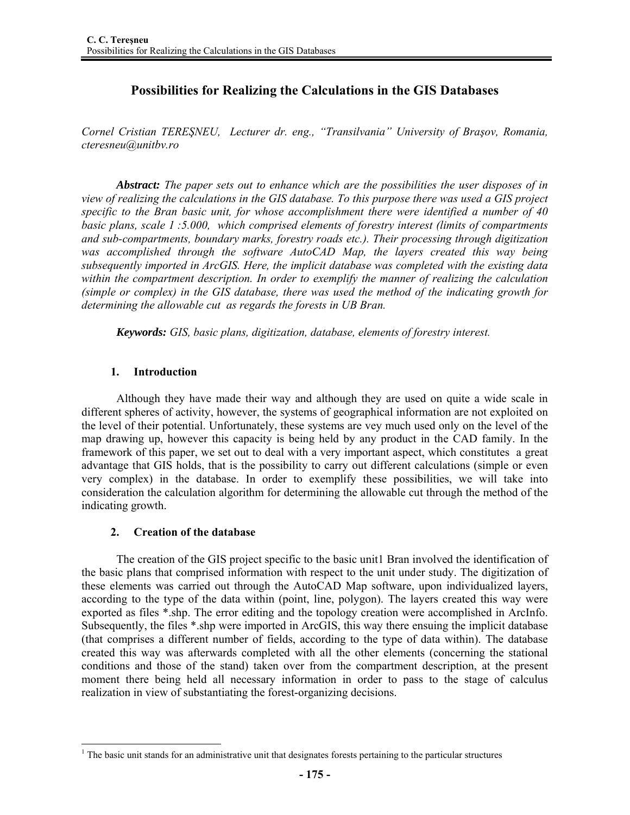# **Possibilities for Realizing the Calculations in the GIS Databases**

*Cornel Cristian TEREŞNEU, Lecturer dr. eng., "Transilvania" University of Braşov, Romania, cteresneu@unitbv.ro* 

*Abstract: The paper sets out to enhance which are the possibilities the user disposes of in view of realizing the calculations in the GIS database. To this purpose there was used a GIS project specific to the Bran basic unit, for whose accomplishment there were identified a number of 40 basic plans, scale 1 :5.000, which comprised elements of forestry interest (limits of compartments and sub-compartments, boundary marks, forestry roads etc.). Their processing through digitization*  was accomplished through the software AutoCAD Map, the layers created this way being *subsequently imported in ArcGIS. Here, the implicit database was completed with the existing data within the compartment description. In order to exemplify the manner of realizing the calculation (simple or complex) in the GIS database, there was used the method of the indicating growth for determining the allowable cut as regards the forests in UB Bran.* 

*Keywords: GIS, basic plans, digitization, database, elements of forestry interest.* 

### **1. Introduction**

Although they have made their way and although they are used on quite a wide scale in different spheres of activity, however, the systems of geographical information are not exploited on the level of their potential. Unfortunately, these systems are vey much used only on the level of the map drawing up, however this capacity is being held by any product in the CAD family. In the framework of this paper, we set out to deal with a very important aspect, which constitutes a great advantage that GIS holds, that is the possibility to carry out different calculations (simple or even very complex) in the database. In order to exemplify these possibilities, we will take into consideration the calculation algorithm for determining the allowable cut through the method of the indicating growth.

# **2. Creation of the database**

The creation of the GIS project specific to the basic unit1 Bran involved the identification of the basic plans that comprised information with respect to the unit under study. The digitization of these elements was carried out through the AutoCAD Map software, upon individualized layers, according to the type of the data within (point, line, polygon). The layers created this way were exported as files \*.shp. The error editing and the topology creation were accomplished in ArcInfo. Subsequently, the files \*.shp were imported in ArcGIS, this way there ensuing the implicit database (that comprises a different number of fields, according to the type of data within). The database created this way was afterwards completed with all the other elements (concerning the stational conditions and those of the stand) taken over from the compartment description, at the present moment there being held all necessary information in order to pass to the stage of calculus realization in view of substantiating the forest-organizing decisions.

 $\overline{a}$ <sup>1</sup> The basic unit stands for an administrative unit that designates forests pertaining to the particular structures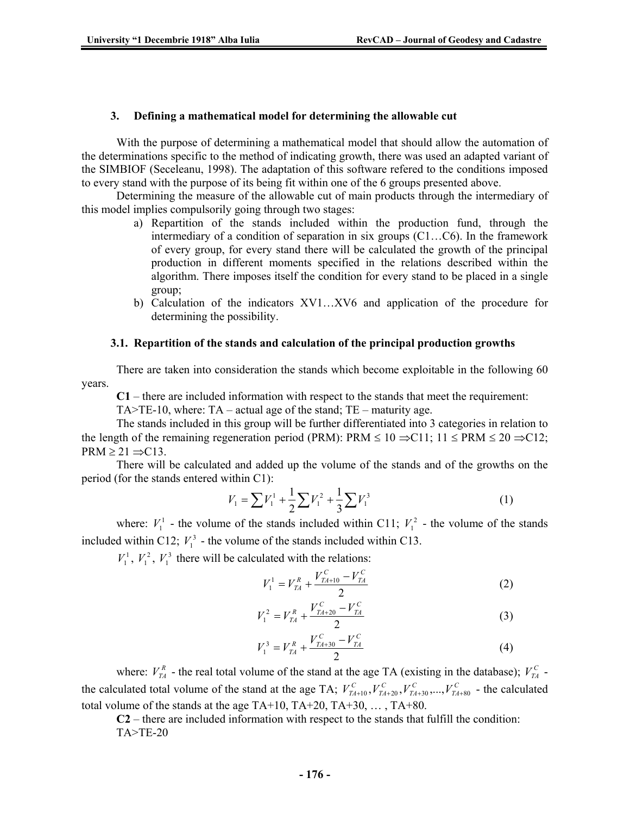### **3. Defining a mathematical model for determining the allowable cut**

With the purpose of determining a mathematical model that should allow the automation of the determinations specific to the method of indicating growth, there was used an adapted variant of the SIMBIOF (Seceleanu, 1998). The adaptation of this software refered to the conditions imposed to every stand with the purpose of its being fit within one of the 6 groups presented above.

Determining the measure of the allowable cut of main products through the intermediary of this model implies compulsorily going through two stages:

- a) Repartition of the stands included within the production fund, through the intermediary of a condition of separation in six groups (C1…C6). In the framework of every group, for every stand there will be calculated the growth of the principal production in different moments specified in the relations described within the algorithm. There imposes itself the condition for every stand to be placed in a single group;
- b) Calculation of the indicators XV1…XV6 and application of the procedure for determining the possibility.

### **3.1. Repartition of the stands and calculation of the principal production growths**

There are taken into consideration the stands which become exploitable in the following 60 years.

**C1** – there are included information with respect to the stands that meet the requirement:

TA $>$ TE-10, where: TA – actual age of the stand; TE – maturity age.

The stands included in this group will be further differentiated into 3 categories in relation to the length of the remaining regeneration period (PRM): PRM  $\leq 10 \Rightarrow C11$ ; 11  $\leq$  PRM  $\leq 20 \Rightarrow C12$ ;  $PRM \geq 21 \implies C13$ .

There will be calculated and added up the volume of the stands and of the growths on the period (for the stands entered within C1):

$$
V_1 = \sum V_1^1 + \frac{1}{2} \sum V_1^2 + \frac{1}{3} \sum V_1^3
$$
 (1)

where:  $V_1^1$  - the volume of the stands included within C11;  $V_1^2$  - the volume of the stands included within C12;  $V_1^3$  - the volume of the stands included within C13.

 $V_1^1$ ,  $V_1^2$ ,  $V_1^3$  there will be calculated with the relations:

$$
V_1^1 = V_{TA}^R + \frac{V_{TA+10}^C - V_{TA}^C}{2}
$$
 (2)

$$
V_1^2 = V_{TA}^R + \frac{V_{TA+20}^C - V_{TA}^C}{2}
$$
 (3)

$$
V_1^3 = V_{TA}^R + \frac{V_{TA+30}^C - V_{TA}^C}{2}
$$
 (4)

where:  $V_{TA}^R$  - the real total volume of the stand at the age TA (existing in the database);  $V_{TA}^C$  the calculated total volume of the stand at the age TA;  $V_{TA+10}^C$ ,  $V_{TA+20}^C$ ,  $V_{TA+30}^C$ ,  $\ldots$ ,  $V_{TA+80}^C$  - the calculated total volume of the stands at the age TA+10, TA+20, TA+30,  $\dots$ , TA+80.

**C2** – there are included information with respect to the stands that fulfill the condition: TA>TE-20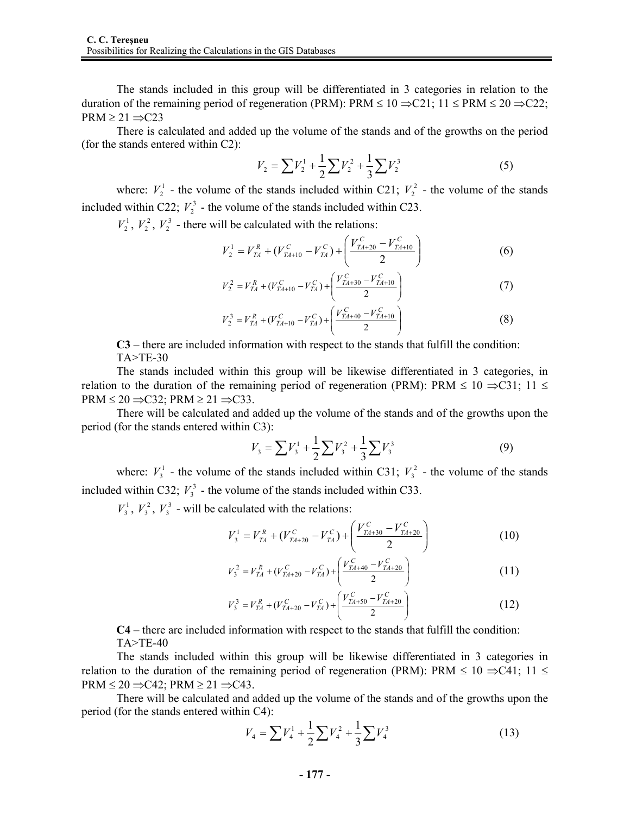The stands included in this group will be differentiated in 3 categories in relation to the duration of the remaining period of regeneration (PRM): PRM  $\leq 10 \Rightarrow C21$ ; 11  $\leq$  PRM  $\leq 20 \Rightarrow C22$ ;  $PRM \geq 21 \implies C23$ 

There is calculated and added up the volume of the stands and of the growths on the period (for the stands entered within C2):

$$
V_2 = \sum V_2^1 + \frac{1}{2} \sum V_2^2 + \frac{1}{3} \sum V_2^3
$$
 (5)

where:  $V_2^1$  - the volume of the stands included within C21;  $V_2^2$  - the volume of the stands included within C22;  $V_2^3$  - the volume of the stands included within C23.

 $V_2^1$ ,  $V_2^2$ ,  $V_2^3$  - there will be calculated with the relations:

$$
V_2^1 = V_{TA}^R + (V_{TA+10}^C - V_{TA}^C) + \left(\frac{V_{TA+20}^C - V_{TA+10}^C}{2}\right)
$$
 (6)

$$
V_2^2 = V_{TA}^R + (V_{TA+10}^C - V_{TA}^C) + \left(\frac{V_{TA+30}^C - V_{TA+10}^C}{2}\right)
$$
 (7)

$$
V_2^3 = V_{TA}^R + (V_{TA+10}^C - V_{TA}^C) + \left(\frac{V_{TA+40}^C - V_{TA+10}^C}{2}\right)
$$
 (8)

**C3** – there are included information with respect to the stands that fulfill the condition: TA>TE-30

The stands included within this group will be likewise differentiated in 3 categories, in relation to the duration of the remaining period of regeneration (PRM): PRM  $\leq 10 \Rightarrow C31$ ; 11  $\leq$  $PRM \leq 20 \implies C32$ ;  $PRM \geq 21 \implies C33$ .

There will be calculated and added up the volume of the stands and of the growths upon the period (for the stands entered within C3):

$$
V_3 = \sum V_3^1 + \frac{1}{2} \sum V_3^2 + \frac{1}{3} \sum V_3^3 \tag{9}
$$

where:  $V_3^1$  - the volume of the stands included within C31;  $V_3^2$  - the volume of the stands included within C32;  $V_3^3$  - the volume of the stands included within C33.

 $V_3^1$ ,  $V_3^2$ ,  $V_3^3$  - will be calculated with the relations:

$$
V_3^1 = V_{TA}^R + (V_{TA+20}^C - V_{TA}^C) + \left(\frac{V_{TA+30}^C - V_{TA+20}^C}{2}\right)
$$
 (10)

$$
V_3^2 = V_{TA}^R + (V_{TA+20}^C - V_{TA}^C) + \left(\frac{V_{TA+40}^C - V_{TA+20}^C}{2}\right)
$$
 (11)

$$
V_3^3 = V_{TA}^R + (V_{TA+20}^C - V_{TA}^C) + \left(\frac{V_{TA+50}^C - V_{TA+20}^C}{2}\right)
$$
 (12)

**C4** – there are included information with respect to the stands that fulfill the condition: TA>TE-40

The stands included within this group will be likewise differentiated in 3 categories in relation to the duration of the remaining period of regeneration (PRM): PRM  $\leq 10 \Rightarrow C41$ ; 11  $\leq$  $PRM \leq 20 \implies C42$ ;  $PRM \geq 21 \implies C43$ .

There will be calculated and added up the volume of the stands and of the growths upon the period (for the stands entered within C4):

$$
V_4 = \sum V_4^1 + \frac{1}{2} \sum V_4^2 + \frac{1}{3} \sum V_4^3 \tag{13}
$$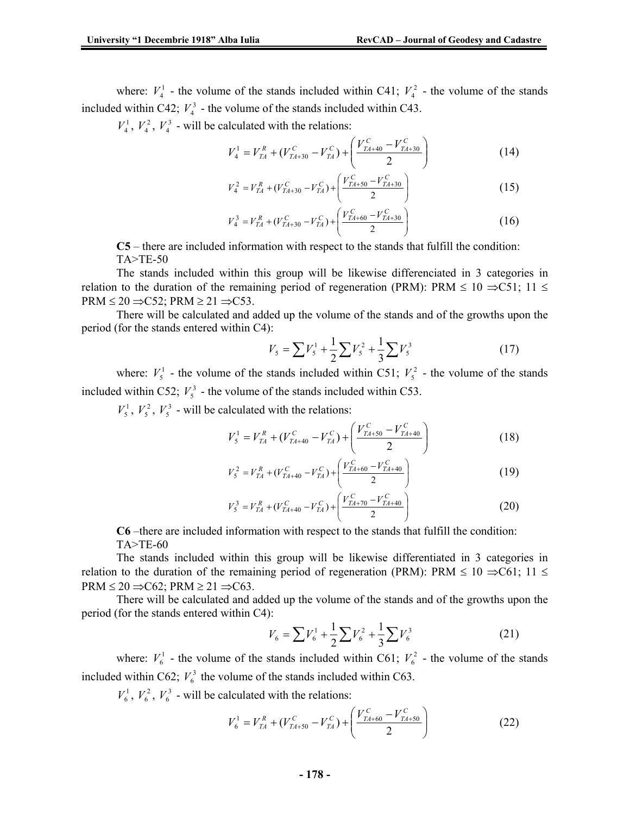where:  $V_4^1$  - the volume of the stands included within C41;  $V_4^2$  - the volume of the stands included within C42;  $V_4^3$  - the volume of the stands included within C43.

 $V_4^1$ ,  $V_4^2$ ,  $V_4^3$  - will be calculated with the relations:

$$
V_4^1 = V_{TA}^R + (V_{TA+30}^C - V_{TA}^C) + \left(\frac{V_{TA+40}^C - V_{TA+30}^C}{2}\right)
$$
 (14)

$$
V_4^2 = V_{TA}^R + (V_{TA+30}^C - V_{TA}^C) + \left(\frac{V_{TA+50}^C - V_{TA+30}^C}{2}\right)
$$
 (15)

$$
V_4^3 = V_{TA}^R + (V_{TA+30}^C - V_{TA}^C) + \left(\frac{V_{TA+60}^C - V_{TA+30}^C}{2}\right)
$$
 (16)

**C5** – there are included information with respect to the stands that fulfill the condition: TA>TE-50

The stands included within this group will be likewise differenciated in 3 categories in relation to the duration of the remaining period of regeneration (PRM): PRM  $\leq 10 \Rightarrow C51$ ; 11  $\leq$  $PRM \leq 20 \implies C52$ ;  $PRM \geq 21 \implies C53$ .

There will be calculated and added up the volume of the stands and of the growths upon the period (for the stands entered within C4):

$$
V_s = \sum V_s^1 + \frac{1}{2} \sum V_s^2 + \frac{1}{3} \sum V_s^3 \tag{17}
$$

where:  $V_5^1$  - the volume of the stands included within C51;  $V_5^2$  - the volume of the stands included within C52;  $V_5^3$  - the volume of the stands included within C53.

 $V_5^1$ ,  $V_5^2$ ,  $V_5^3$  - will be calculated with the relations:

$$
V_5^1 = V_{TA}^R + (V_{TA+40}^C - V_{TA}^C) + \left(\frac{V_{TA+50}^C - V_{TA+40}^C}{2}\right)
$$
 (18)

$$
V_5^2 = V_{TA}^R + (V_{TA+40}^C - V_{TA}^C) + \left(\frac{V_{TA+60}^C - V_{TA+40}^C}{2}\right)
$$
 (19)

$$
V_5^3 = V_{TA}^R + (V_{TA+40}^C - V_{TA}^C) + \left(\frac{V_{TA+70}^C - V_{TA+40}^C}{2}\right)
$$
 (20)

**C6** –there are included information with respect to the stands that fulfill the condition: TA>TE-60

The stands included within this group will be likewise differentiated in 3 categories in relation to the duration of the remaining period of regeneration (PRM): PRM  $\leq 10 \Rightarrow C61$ ; 11  $\leq$  $PRM \leq 20 \Rightarrow C62$ ;  $PRM \geq 21 \Rightarrow C63$ .

There will be calculated and added up the volume of the stands and of the growths upon the period (for the stands entered within C4):

$$
V_6 = \sum V_6^1 + \frac{1}{2} \sum V_6^2 + \frac{1}{3} \sum V_6^3 \tag{21}
$$

where:  $V_6^1$  - the volume of the stands included within C61;  $V_6^2$  - the volume of the stands included within C62;  $V_6^3$  the volume of the stands included within C63.

 $V_6^1$ ,  $V_6^2$ ,  $V_6^3$  - will be calculated with the relations:

$$
V_6^1 = V_{TA}^R + (V_{TA+50}^C - V_{TA}^C) + \left(\frac{V_{TA+60}^C - V_{TA+50}^C}{2}\right)
$$
 (22)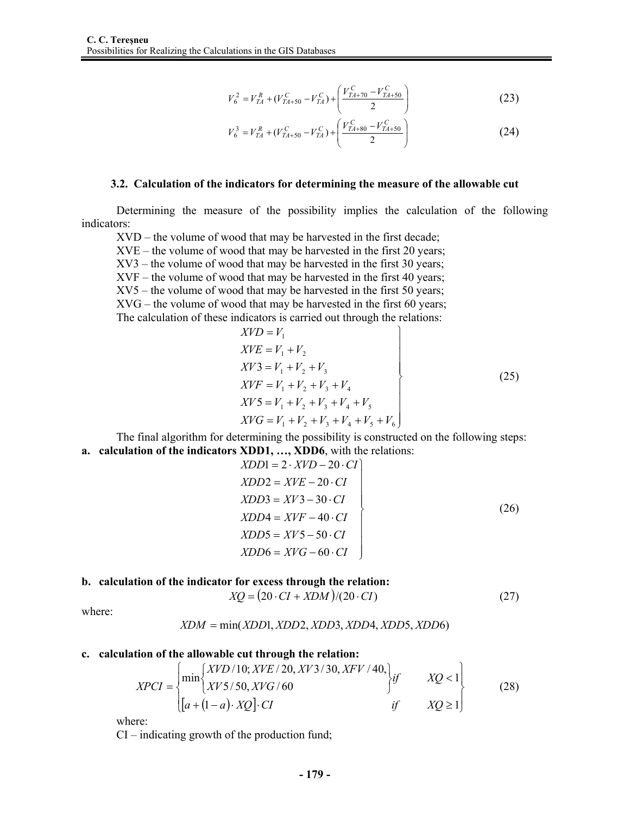$$
V_6^2 = V_{TA}^R + (V_{TA+50}^C - V_{TA}^C) + \left(\frac{V_{TA+70}^C - V_{TA+50}^C}{2}\right)
$$
 (23)

$$
V_6^3 = V_{TA}^R + (V_{TA+50}^C - V_{TA}^C) + \left(\frac{V_{TA+80}^C - V_{TA+50}^C}{2}\right)
$$
 (24)

#### **3.2. Calculation of the indicators for determining the measure of the allowable cut**

Determining the measure of the possibility implies the calculation of the following indicators:

XVD – the volume of wood that may be harvested in the first decade;

XVE – the volume of wood that may be harvested in the first 20 years;

XV3 – the volume of wood that may be harvested in the first 30 years;

- XVF the volume of wood that may be harvested in the first 40 years;
- XV5 the volume of wood that may be harvested in the first 50 years;

XVG – the volume of wood that may be harvested in the first 60 years;

The calculation of these indicators is carried out through the relations:  $\overline{r}$ 

$$
XVD = V1\nXVE = V1 + V2\nXV3 = V1 + V2 + V3\nXVF = V1 + V2 + V3 + V4\nXV5 = V1 + V2 + V3 + V4 + V5\nXVG = V1 + V2 + V3 + V4 + V5 + V6
$$
\n(25)

The final algorithm for determining the possibility is constructed on the following steps: **a. calculation of the indicators XDD1, …, XDD6**, with the relations:

$$
XDD1 = 2 \cdot XVD - 20 \cdot CI
$$
  
\n
$$
XDD2 = XVE - 20 \cdot CI
$$
  
\n
$$
XDD3 = XV3 - 30 \cdot CI
$$
  
\n
$$
XDD4 = XVF - 40 \cdot CI
$$
  
\n
$$
XDD5 = XVS - 50 \cdot CI
$$
  
\n
$$
XDD6 = XVG - 60 \cdot CI
$$
  
\n(26)

#### **b. calculation of the indicator for excess through the relation:**

$$
XQ = (20 \cdot CI + XDM)/(20 \cdot CI)
$$
\n<sup>(27)</sup>

where:

$$
XDM = \min(XDD1, XDD2, XDD3, XDD4, XDD5, XDD6)
$$

#### **c. calculation of the allowable cut through the relation:**

$$
XPCI = \begin{cases} \min\begin{cases} XVD/10; XVE/20, XY3/30, XFV/40, \\ XY5/50, XVG/60 \end{cases} \text{ if } XQ < 1 \\ \begin{bmatrix} a + (1-a) \cdot XQ \end{bmatrix} \cdot CI & \text{ if } XQ \ge 1 \end{cases}
$$
 (28)

where:

CI – indicating growth of the production fund;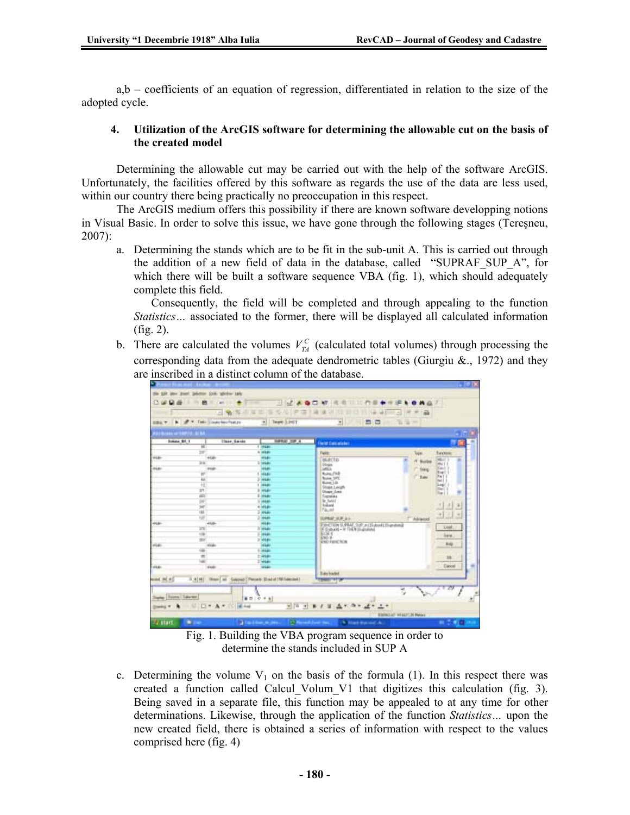a,b – coefficients of an equation of regression, differentiated in relation to the size of the adopted cycle.

### **4. Utilization of the ArcGIS software for determining the allowable cut on the basis of the created model**

Determining the allowable cut may be carried out with the help of the software ArcGIS. Unfortunately, the facilities offered by this software as regards the use of the data are less used, within our country there being practically no preoccupation in this respect.

The ArcGIS medium offers this possibility if there are known software developping notions in Visual Basic. In order to solve this issue, we have gone through the following stages (Tereşneu, 2007):

a. Determining the stands which are to be fit in the sub-unit A. This is carried out through the addition of a new field of data in the database, called "SUPRAF\_SUP\_A", for which there will be built a software sequence VBA (fig. 1), which should adequately complete this field.

 Consequently, the field will be completed and through appealing to the function *Statistics…* associated to the former, there will be displayed all calculated information (fig. 2).

b. There are calculated the volumes  $V_{\tau A}^C$  (calculated total volumes) through processing the corresponding data from the adequate dendrometric tables (Giurgiu  $\&$ ., 1972) and they are inscribed in a distinct column of the database.



Fig. 1. Building the VBA program sequence in order to determine the stands included in SUP A

c. Determining the volume  $V_1$  on the basis of the formula (1). In this respect there was created a function called Calcul Volum V1 that digitizes this calculation (fig. 3). Being saved in a separate file, this function may be appealed to at any time for other determinations. Likewise, through the application of the function *Statistics…* upon the new created field, there is obtained a series of information with respect to the values comprised here (fig. 4)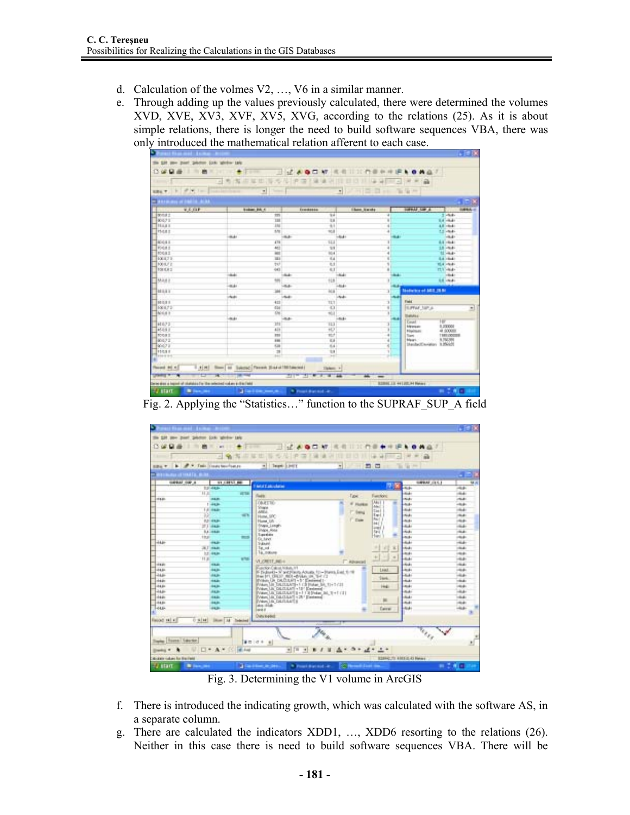- d. Calculation of the volmes V2, …, V6 in a similar manner.
- e. Through adding up the values previously calculated, there were determined the volumes XVD, XVE, XV3, XVF, XV5, XVG, according to the relations (25). As it is about simple relations, there is longer the need to build software sequences VBA, there was only introduced the mathematical relation afferent to each case.

|                                        | 日有海市草田市为传统四/单项则目目目目 马背 三河产业                                        |                                                                                                                                                                                                                                                                                                                                                                                                                                                |                  |             |    |    |                                                                              |
|----------------------------------------|--------------------------------------------------------------------|------------------------------------------------------------------------------------------------------------------------------------------------------------------------------------------------------------------------------------------------------------------------------------------------------------------------------------------------------------------------------------------------------------------------------------------------|------------------|-------------|----|----|------------------------------------------------------------------------------|
|                                        | 100g → トラスト   Gallerine → コート   「 →   「 →   」 →   」 →   2 コート 生年 → |                                                                                                                                                                                                                                                                                                                                                                                                                                                |                  |             |    |    |                                                                              |
| The annual contract in the ALAA        |                                                                    |                                                                                                                                                                                                                                                                                                                                                                                                                                                |                  |             |    |    |                                                                              |
| <b>WEIGHT COMPANY</b><br><b>Bona</b> : | <b>Bodont PA 4</b><br>1m                                           | <b>ECONOMIA</b>                                                                                                                                                                                                                                                                                                                                                                                                                                | 'Eal             |             |    |    | <b>SUPPLIE LIM A</b><br><b>SUPPLA</b><br>the control of the con-<br>$2 - 64$ |
| RK421                                  | m                                                                  |                                                                                                                                                                                                                                                                                                                                                                                                                                                | <b>TA</b>        |             |    |    | <b>Kaliman</b>                                                               |
| <b>HAAI</b>                            | <b>JAC</b>                                                         |                                                                                                                                                                                                                                                                                                                                                                                                                                                | 4H               |             |    |    | 4.8 - 6.4 -                                                                  |
| PARKS                                  | shi                                                                |                                                                                                                                                                                                                                                                                                                                                                                                                                                | $\frac{1}{2}$    |             |    |    | 11-54-                                                                       |
|                                        | القائلة                                                            | 4.4                                                                                                                                                                                                                                                                                                                                                                                                                                            |                  | $-46.4 +$   |    |    | <b>Cardonal Comments</b>                                                     |
| <b>KALL</b>                            | 476                                                                |                                                                                                                                                                                                                                                                                                                                                                                                                                                | <b>ILI</b>       |             |    |    | 63,004                                                                       |
| <b>ROGAL</b>                           | 461                                                                |                                                                                                                                                                                                                                                                                                                                                                                                                                                | $^{12}$          |             | ٠  |    | 15 -54                                                                       |
| <b>ROGAZ</b>                           | w                                                                  |                                                                                                                                                                                                                                                                                                                                                                                                                                                | <b>MA</b>        |             | ä  |    | <b>SECRAT</b>                                                                |
| <b>BOE 8.7 B</b>                       | m                                                                  |                                                                                                                                                                                                                                                                                                                                                                                                                                                | Tal.             |             | w  |    | <b>Ballyman</b>                                                              |
| 100107.0                               | $\overline{\tau v}$                                                |                                                                                                                                                                                                                                                                                                                                                                                                                                                | K.               |             |    |    | <b>Hill interest</b>                                                         |
| TOE ER 3                               | 40                                                                 |                                                                                                                                                                                                                                                                                                                                                                                                                                                | A.T.             | <b>TIME</b> |    |    | <b>1137-468-</b>                                                             |
|                                        | <b>Side</b><br><b>Add</b>                                          | <b>Links</b>                                                                                                                                                                                                                                                                                                                                                                                                                                   | 118              |             |    |    | <b>Total</b>                                                                 |
| MARY                                   | الخنافة                                                            | -tub-                                                                                                                                                                                                                                                                                                                                                                                                                                          |                  |             | ¥  |    | <b>SECURE</b>                                                                |
| <b>MAXY</b>                            | ж                                                                  |                                                                                                                                                                                                                                                                                                                                                                                                                                                |                  | MATTE.      |    | зT | <b>Matters of MILIAN</b>                                                     |
|                                        | <b>Build</b>                                                       | <b>USA ALL</b>                                                                                                                                                                                                                                                                                                                                                                                                                                 |                  | Literature  |    |    |                                                                              |
| 98 0.9 1                               | 413<br>28                                                          |                                                                                                                                                                                                                                                                                                                                                                                                                                                | TLT              |             |    |    | Field.                                                                       |
| 108.0.72                               | 434                                                                |                                                                                                                                                                                                                                                                                                                                                                                                                                                | 30               |             | ¥1 |    | <b>SUPPLE SAFLA</b>                                                          |
| NHA 1                                  |                                                                    | W.                                                                                                                                                                                                                                                                                                                                                                                                                                             | 柳                |             |    | ⊕  |                                                                              |
|                                        | 44.41                                                              | -Ballis                                                                                                                                                                                                                                                                                                                                                                                                                                        |                  | $-844 +$    |    |    | <b>Theftuffice</b><br>w                                                      |
| HE375                                  | 391                                                                |                                                                                                                                                                                                                                                                                                                                                                                                                                                | TES              |             |    |    | Email 1<br><b><i><u><i><u>Administration</u></i></u></i></b><br>0.23000      |
| 16.061                                 | 'ali                                                               |                                                                                                                                                                                                                                                                                                                                                                                                                                                | HD.              |             |    |    | 48 00000<br><b>Niselman</b>                                                  |
| <b>FOR E</b>                           | m                                                                  |                                                                                                                                                                                                                                                                                                                                                                                                                                                | <b>KUT</b>       |             | ٠  |    | TREE (ODCITER)<br>Toyota .                                                   |
| MAY 2                                  | <b>FME</b>                                                         |                                                                                                                                                                                                                                                                                                                                                                                                                                                | $\overline{1}$   |             | ä  |    | Manhell'Avidori 3,35025                                                      |
| Fación a                               | Kar                                                                |                                                                                                                                                                                                                                                                                                                                                                                                                                                | K4               |             | ë  |    |                                                                              |
| <b>FISHI</b><br><b>STATISTIC</b>       |                                                                    | $\overline{1}$<br><b>SAC</b>                                                                                                                                                                                                                                                                                                                                                                                                                   | 18<br><b>SAT</b> |             |    |    |                                                                              |
|                                        |                                                                    |                                                                                                                                                                                                                                                                                                                                                                                                                                                |                  |             |    |    |                                                                              |
| Flexion #4 H                           | 1.4 (H) New at Lakesc Penns Had at Milanced                        |                                                                                                                                                                                                                                                                                                                                                                                                                                                | Thier +          |             |    |    |                                                                              |
|                                        |                                                                    |                                                                                                                                                                                                                                                                                                                                                                                                                                                |                  |             |    |    |                                                                              |
| <del>- 12 -</del>                      | ×                                                                  | $\frac{1}{2} \left( \frac{1}{2} \right) \frac{1}{2} \left( \frac{1}{2} \right) \frac{1}{2} \left( \frac{1}{2} \right) \frac{1}{2} \left( \frac{1}{2} \right) \frac{1}{2} \left( \frac{1}{2} \right) \frac{1}{2} \left( \frac{1}{2} \right) \frac{1}{2} \left( \frac{1}{2} \right) \frac{1}{2} \left( \frac{1}{2} \right) \frac{1}{2} \left( \frac{1}{2} \right) \frac{1}{2} \left( \frac{1}{2} \right) \frac{1}{2} \left( \frac{1}{2} \right)$ |                  |             |    |    |                                                                              |

Fig. 2. Applying the "Statistics…" function to the SUPRAF\_SUP\_A field

|                                  | me part painter (on white tak          |                      |                                                                                           |                                                       |                                                   |                                  |                             |
|----------------------------------|----------------------------------------|----------------------|-------------------------------------------------------------------------------------------|-------------------------------------------------------|---------------------------------------------------|----------------------------------|-----------------------------|
|                                  | art.                                   |                      | 1.7.4001M<br>ш                                                                            | 花相<br>ш                                               |                                                   |                                  |                             |
|                                  | $-1$                                   |                      | ×<br>华津                                                                                   | <b>CELL 1999</b><br>148<br><b>SALE</b>                | <b>Call</b><br><b>WELL-TOWER</b><br>$\frac{1}{2}$ |                                  |                             |
|                                  |                                        |                      |                                                                                           |                                                       |                                                   |                                  |                             |
| <b>SBAY</b>                      | b. # * Testi trade bourhance           |                      | a Team Livery                                                                             | $\frac{1}{2}$                                         | $-20$<br>$-1$                                     | The Cap come                     |                             |
| <b>BORGHAM AT MAILER SHOWS.</b>  |                                        |                      |                                                                                           |                                                       |                                                   |                                  | - - 1                       |
| <b>GREAT OUR A</b>               |                                        | ST.COULD BE          |                                                                                           |                                                       |                                                   | SIRRAF (ES.E)                    | 68.8                        |
|                                  | 101-448-                               |                      | <b>MAILBANE</b>                                                                           |                                                       |                                                   | dick-                            | mar.                        |
|                                  | H.H.                                   | <b>VETA</b>          | <b>Tues</b>                                                                               | <b>Table</b>                                          | Fam Nord                                          | m.                               | $-44.4$                     |
| <b>HEAR</b>                      | 清新                                     |                      |                                                                                           |                                                       |                                                   | <b>Sub</b>                       | <b>High</b>                 |
|                                  | $1 - 44.36$                            |                      | <b>COURT THE</b><br><b>Strape</b>                                                         | IF FAIRER                                             | Aku I<br>۰<br>Mad.                                | <b>Julie</b>                     | interaksi                   |
|                                  | <b>Lit made</b>                        |                      | AREA.                                                                                     | 7" Felix                                              | Tax I                                             | mit-                             | $-44$                       |
|                                  | W.                                     | $-1$                 | Hotel, SPC                                                                                | <b>F</b> Date                                         | Exp.L.1<br>Recl 1                                 | Holes                            | diam'r.                     |
|                                  | <b><i>REGISTER</i></b><br>27.3 (44.06) |                      | <b>Plume</b> , Life<br><b>Shaw Looph</b>                                                  |                                                       | мr                                                | <b>Jacks</b><br><b>ALL</b>       | $-0.4$<br><b>High-</b>      |
|                                  | 5.4 - 64.01                            |                      | Shape Alate                                                                               |                                                       | <b>Loan C</b><br>fact.                            | Sd.                              | <b>Hotel</b>                |
|                                  | 12,411                                 | m <sub>0</sub>       | Taxinin                                                                                   |                                                       | Hand                                              | <b>Journal</b>                   | $-0.4$                      |
| 44.66                            | <b>THE</b>                             |                      | Gr. havn<br>2-Analysis                                                                    |                                                       |                                                   | ALL C                            | mid-                        |
|                                  | JET HER                                |                      | Tat. od                                                                                   |                                                       | ×<br>×                                            | <b>Hotel</b>                     | <b>High</b>                 |
|                                  | 12,448                                 |                      | Tá tratura                                                                                |                                                       |                                                   | imako                            | 19441                       |
|                                  | 11.30                                  | <b>What</b>          | VLORITE NG+                                                                               |                                                       | $+1$<br>٠<br>×<br>٠                               | m.                               | ing pri                     |
| <b>HARL</b>                      | 198.40                                 |                      |                                                                                           | - аронгий                                             |                                                   | ALC:                             | <b>CALL</b>                 |
| <b>JAAR</b>                      | <b>BAJK</b>                            |                      | Function Calcul Schult, 1/1<br>IF IS double N'and Fixety Actuals, 111 - Hares East, 1119  |                                                       | Least                                             | <b>José</b>                      | <b>House</b>                |
| <b>JAM</b>                       | as is                                  |                      | the tri think and drive in the CL                                                         |                                                       | <b>Stark</b>                                      | <b>ALL</b>                       | <b>High-</b>                |
| date                             | <b>Hall</b>                            |                      | Bridge Un DATULET - 5" Electered 1-<br>Willem Life TULITAN'S + 5 CB Statue, SA, 11+1-0111 |                                                       |                                                   | <b>Hall</b>                      | <b>CALL</b>                 |
| 104.61                           | <b>HAR</b>                             |                      | Wear, UK DEITUUT +15" Electronal-                                                         |                                                       | m                                                 | imako                            | <b>HEAR</b>                 |
| <b>JAM</b><br>dam.               | <b>ALA</b>                             |                      | Way: 18 DECUMENT 1991 Shape 3d, 1997 (21)                                                 |                                                       |                                                   | <b>Hotel</b>                     | <b>HALL</b><br><b>Hotel</b> |
| 104.61                           | 64.AL<br><b>BAJK</b>                   |                      | Way, In DAILER - 20 Eastend<br>Ween I & DEITANTS                                          |                                                       | $\equiv$                                          | make.<br>make.                   | <b>High</b>                 |
| <b>HALL</b>                      | is in                                  |                      | <b>Director</b>                                                                           |                                                       |                                                   | <b>ALA</b>                       | <b>Hotel</b>                |
|                                  |                                        |                      | <b>House</b>                                                                              |                                                       | <b>Carroll</b>                                    |                                  |                             |
|                                  | 0.9141                                 |                      | Own keeps                                                                                 |                                                       |                                                   |                                  |                             |
| Fiscod 141 #1                    |                                        | Direct Ad Detected L |                                                                                           |                                                       |                                                   |                                  |                             |
|                                  |                                        |                      |                                                                                           |                                                       |                                                   | <b>Sept</b>                      |                             |
|                                  |                                        |                      |                                                                                           |                                                       |                                                   | alts.                            |                             |
| <b>Sterley Trause Liaurice</b>   |                                        |                      | ● 四 (の 8 → 6)                                                                             |                                                       |                                                   |                                  |                             |
| <b>Diedal W</b>                  | $\Box$ + $\Lambda$ +                   | 145 Ford             | $2 11-2 $                                                                                 | ٠<br>$-2 + 4$                                         | $L +$                                             |                                  |                             |
|                                  |                                        |                      |                                                                                           |                                                       |                                                   |                                  |                             |
| <b>Rodom culum for fire Feel</b> |                                        |                      |                                                                                           |                                                       |                                                   | <b>STAND TO ASSESS AT Parent</b> |                             |
| Ey start                         | <b>B</b> Sec. 2011                     |                      | all cardinal as seen                                                                      | * President Av<br><b>College Avenue School Insure</b> |                                                   |                                  | <b>B 2.4 H</b>              |

Fig. 3. Determining the V1 volume in ArcGIS

- f. There is introduced the indicating growth, which was calculated with the software AS, in a separate column.
- g. There are calculated the indicators XDD1, …, XDD6 resorting to the relations (26). Neither in this case there is need to build software sequences VBA. There will be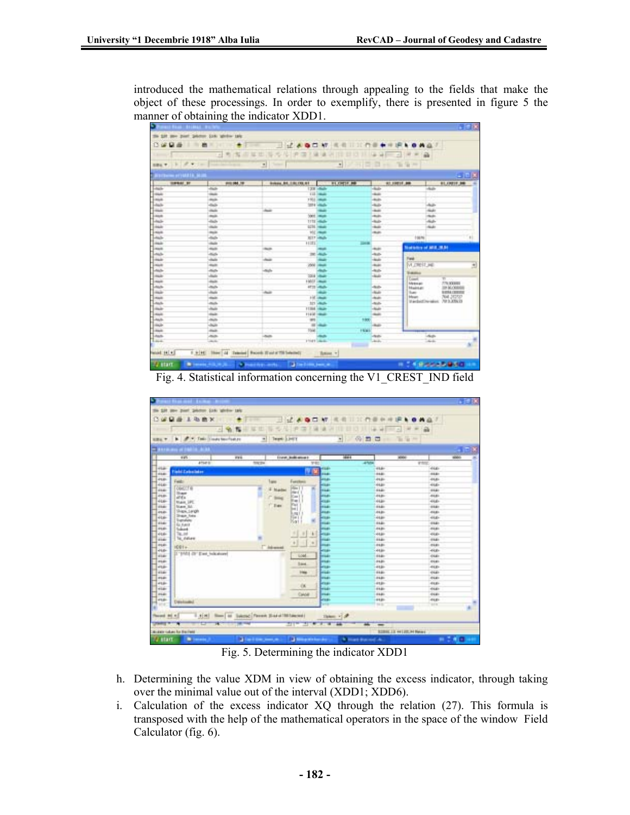introduced the mathematical relations through appealing to the fields that make the object of these processings. In order to exemplify, there is presented in figure 5 the manner of obtaining the indicator XDD1.

| <b>BUILDING STREETS SEA</b><br><b>TOPSAT ST</b> | SELV. R. P. C. Lee Booksminster, C. L. Line |                    | Significant Sam    |                                                |                           |                            |
|-------------------------------------------------|---------------------------------------------|--------------------|--------------------|------------------------------------------------|---------------------------|----------------------------|
|                                                 |                                             |                    |                    |                                                |                           |                            |
|                                                 |                                             |                    |                    |                                                |                           | - 1013                     |
|                                                 | <b><i>DISK DRA TOP</i></b>                  |                    |                    | <b><i><b>RT 19811 BB</b></i></b><br>a province |                           | <b>BLOWST, 980</b>         |
| 1-suit                                          | خيند                                        |                    | 123 - Aub          | -kale                                          | $-444$                    |                            |
| hair                                            | <b>CALLS</b>                                |                    | <b>EXP. Heads</b>  | man.                                           |                           |                            |
| E                                               |                                             |                    | <b>1101 Hitch</b>  | <b>Auto</b>                                    |                           |                            |
|                                                 | z                                           |                    | <b>SIFE CALLS</b>  | <b>Auto</b>                                    | A                         |                            |
| <b>The Contract</b>                             | mar.                                        | <b>Add</b>         | <b>The State</b>   | <b>Take</b>                                    | <b>Charles</b>            |                            |
| ings                                            | <b>Auto</b>                                 |                    | State League       | dealer.                                        | na in                     |                            |
| <b>July</b>                                     | dal-                                        |                    | TTTI - Mali-       | date.                                          | dist.                     |                            |
| <b>Hale</b>                                     | mar.                                        |                    | <b>4236 means</b>  | man.                                           | <b>Suit</b>               |                            |
| <b>Final</b>                                    | ÷,                                          |                    | <b>TOT / House</b> | man.                                           |                           |                            |
| <b>Auto</b>                                     |                                             |                    | <b>RETT-Made</b>   |                                                | 150%                      |                            |
| in it                                           | $\frac{1}{2}$                               | <b>HIST</b>        | <b>List on</b>     |                                                |                           |                            |
| mat                                             | man.                                        | <b>State</b>       | <b>CONTRACTOR</b>  | duals:                                         | <b>National AGE (R.R)</b> |                            |
| <b>Auto</b>                                     | nis.                                        |                    | $20 - 445$         | -test-                                         |                           |                            |
| <b>Hall</b>                                     | hale                                        | m.                 | <b>The State</b>   | <b>Sept</b>                                    | Fast:                     |                            |
| man                                             | <b>Auto</b>                                 |                    | <b>West colour</b> | <b>Auto</b>                                    | MUNITIM                   |                            |
| <b>ALG</b>                                      | nis.                                        | no.<br>œ           |                    | -kal-                                          | <b>Vienno</b>             |                            |
| mar.                                            | AG6                                         | x.                 | <b>SSIA Links</b>  | <b>Sept.</b>                                   | <b>County</b>             | Williams                   |
| <b>Taxa</b>                                     | date.                                       |                    | Held Lawer         |                                                | <b>Mekman</b>             | 779, 53, 840               |
| <b>ALL</b>                                      | i.                                          |                    | <b>ATTS LINES</b>  | -fash-                                         | <b>Madrid Ave</b>         | 22 50 000                  |
| main.                                           | AG6                                         | $\overline{a}$     | <b>The State</b>   | $\overline{a}$                                 | Bank 1                    | <b><i>NEWSLETTER</i></b>   |
| main                                            | <b>Side</b>                                 |                    | Hill interest      | <b>Auto</b>                                    | blased.                   | 764.31352                  |
| <b>Contractor</b>                               | in.                                         |                    | 321 Made           | -teats                                         |                           | Macbell Avenue, 7013-20023 |
| min-                                            | $\frac{1}{2}$                               |                    | <b>FERNÍ HAUGH</b> | <b>AGE</b>                                     |                           |                            |
| <b>Taxa</b>                                     | sink.                                       |                    | 11400 House        | man.                                           |                           |                            |
| <b>Auto</b>                                     | in a                                        | w                  | 1000               |                                                |                           |                            |
| main.                                           | <b>AGH</b>                                  |                    | <b>All Cards</b>   | main.                                          |                           |                            |
| i man                                           | sin i                                       | road.              | <b>FRAL</b>        |                                                |                           |                            |
| <b>J-harts</b>                                  | no.                                         | -halls             |                    | Literatu-                                      | Laborato                  |                            |
| Lisa                                            | <b>SOL</b>                                  | <b>TRAFFICANAL</b> |                    | <b>Carl Co</b>                                 | Tuck.                     |                            |

Fig. 4. Statistical information concerning the V1\_CREST\_IND field

|                  |                                     |                                                     |               |                                   |               |                                      | $-100$         |
|------------------|-------------------------------------|-----------------------------------------------------|---------------|-----------------------------------|---------------|--------------------------------------|----------------|
| TH- 1281         | me part painter (ok white tak       |                                                     |               |                                   |               |                                      |                |
|                  |                                     |                                                     |               |                                   |               |                                      |                |
|                  | л<br>华西区                            |                                                     | ٠             | 4Z<br>▭                           | $\mathbf{M}$  |                                      |                |
|                  | ٨                                   | 框<br>u                                              | s,            | m<br>≔                            |               | ۰<br>$\sim$                          |                |
|                  |                                     |                                                     |               |                                   |               |                                      |                |
| 日本にす             | A. F. Tello (Louds Nourloak et<br>× | $\blacksquare$                                      | Teami: 1.1407 |                                   | ×             | $(5)$ $2$<br>E<br>To Car Inc.        |                |
| <b>Eleven</b>    | <b>The Co</b><br>. .                |                                                     |               |                                   |               |                                      | $\blacksquare$ |
|                  | 12%                                 |                                                     |               | <b>FOR BUILDING</b>               | <b>ISBN 9</b> | <b>Milled</b>                        | side.          |
|                  | 475410                              | mess<br>100,04                                      |               | <b>SVALU</b>                      |               | 47698                                | <b>WINDS</b>   |
| $+14+$           |                                     |                                                     |               |                                   | <b>HELE-</b>  | 44.6                                 | $-44.6$        |
| 15.61            | <b>Field Calculates</b>             |                                                     |               |                                   | diam.         | <b>HART</b>                          | <b>SEE</b>     |
| 41.81            |                                     |                                                     |               |                                   | سىما          | <b>ALL</b>                           | 41.8%          |
| 46.66            | Feld:                               |                                                     | 1 spot        | Forches                           | تسحك          | HAM                                  | $-44.6$        |
| <b>HAMP</b>      | Open Fig.                           |                                                     | I higher      | $\frac{1}{2}$<br>٠<br><b>Band</b> | <b>Boxer</b>  | <b>HART</b>                          | 19841          |
| 45.81            | <b>Strauer</b><br>ittis             |                                                     | <b>Simula</b> | Car)                              | <b>Jasar</b>  | <b>ALL</b>                           | 44.81          |
| 41.6-            | Main 1PE                            |                                                     |               | <b>Harl</b>                       | <b>Boxed</b>  | <b>HAM</b>                           | ALC:           |
| 10.44            | <b>Marm MA</b>                      |                                                     | $T$ . East    | <b>Fui</b><br>ы                   | <b>Boxer</b>  | <b>HAAH</b>                          | 19841          |
| asa.             | Shipsi, Langh                       |                                                     |               | R.mg F                            | صنما          | <b>ALL</b>                           | $-0.841$       |
| 41.6-            | <b>Shaw Ave</b>                     |                                                     |               | $\frac{1}{2}$                     | les ar        | <b>HAMP</b>                          | 41.6           |
| 10.61            | <b>Usershire</b><br><b>GLEAR</b>    |                                                     |               | Nat                               | تفتعة         | <b>HAAH</b>                          | 1141           |
| 46.45            | <b>Sakint</b>                       |                                                     |               |                                   | <b>Lesses</b> | <b>ALL</b>                           | -84.61         |
| 41.6-            | Tar, Joh                            |                                                     |               | ٠<br>٠                            | تسعك          | <b>LAB</b>                           | 44.81          |
| <b>STAR</b>      | 16, different                       |                                                     |               |                                   | <b>HARRY</b>  | <b>HART</b>                          | 19841          |
| <b>HEAR</b>      | $1001 +$                            |                                                     | T istensi     | $+1$<br>$\mathcal{A}$             | <b>SHARE</b>  | <b>Losake</b>                        | $-0.441$       |
| 46.64            |                                     |                                                     |               |                                   | نبربا         | $-44.44$                             | 44.8%          |
| diar             | II "DATE (IF" E'mit, Indicatore)    |                                                     |               | Total                             | تقتنوا        | <b>HAAH</b>                          | dag.           |
| <b>HEAR</b>      |                                     |                                                     |               | 1mm                               | <b>Sesan</b>  | <b>ALL</b>                           | 244.81         |
| <b>ALL</b>       |                                     |                                                     |               |                                   | سىما          | $-484$                               | 44.8%          |
| <b>High</b>      |                                     |                                                     |               | <b>Heat</b>                       | تقتنة         | <b>HAAH</b>                          | dage           |
| mail             |                                     |                                                     |               |                                   | <b>Free</b>   | <b>ALL</b>                           | 19640          |
| <b>ALB</b>       |                                     |                                                     |               | OK.                               | les so        | <b>ALL</b>                           | 44.8%          |
| <b>High</b>      |                                     |                                                     |               |                                   | تقتضة         | <b>HART</b>                          | 448            |
| mate             |                                     |                                                     |               | <b>Caldell</b>                    | <b>SHARE</b>  | <b>HART</b>                          | 105.871        |
| <b>ALBA</b>      | Distributed                         |                                                     |               |                                   | <b>Lesson</b> | <b>ALL</b>                           | 44.8%          |
| <b>STAR</b>      |                                     |                                                     |               |                                   | w             | <b>THE</b>                           | 'are           |
| Floorand #45 # 5 | 1.101                               | Stern Las Suizzart, Flexion Statist 1981 (april 21) |               |                                   | Tisken: Y &   |                                      |                |
|                  | e<br>æ                              |                                                     |               | ŦΠ                                | 늌<br>×        | $\equiv$                             |                |
|                  | distant subject for the Feet        |                                                     |               |                                   |               | <b>SCIENCIA ++1 JON: H+ Righam +</b> |                |
| <b>TV start</b>  | <b>B</b> Service                    | a factor and a                                      |               | <b>Call Management Ave.</b>       |               | <b>N. Black Busined AL.</b>          | $-700$         |

Fig. 5. Determining the indicator XDD1

- h. Determining the value XDM in view of obtaining the excess indicator, through taking over the minimal value out of the interval (XDD1; XDD6).
- i. Calculation of the excess indicator XQ through the relation (27). This formula is transposed with the help of the mathematical operators in the space of the window Field Calculator (fig. 6).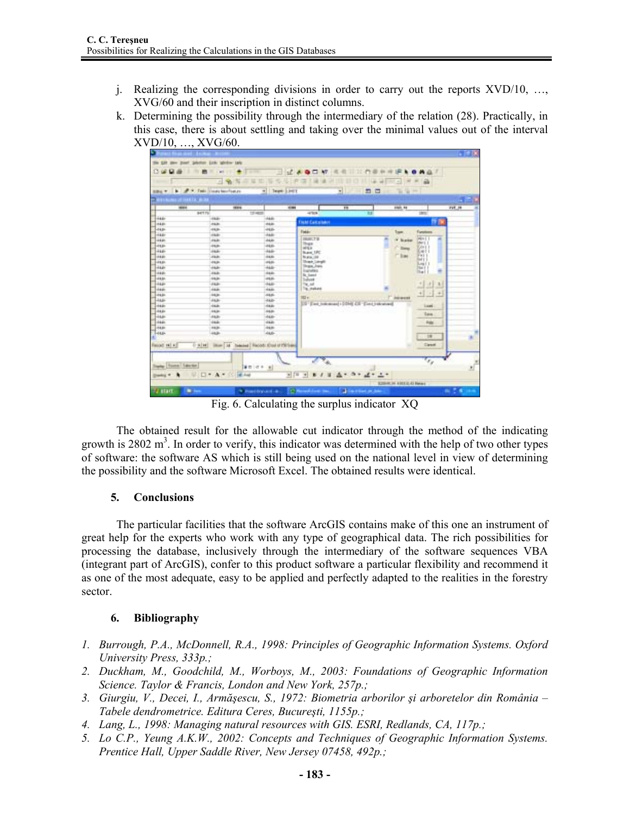- j. Realizing the corresponding divisions in order to carry out the reports XVD/10, …, XVG/60 and their inscription in distinct columns.
- k. Determining the possibility through the intermediary of the relation (28). Practically, in this case, there is about settling and taking over the minimal values out of the interval XVD/10, …, XVG/60.



Fig. 6. Calculating the surplus indicator XQ

The obtained result for the allowable cut indicator through the method of the indicating growth is 2802  $m<sup>3</sup>$ . In order to verify, this indicator was determined with the help of two other types of software: the software AS which is still being used on the national level in view of determining the possibility and the software Microsoft Excel. The obtained results were identical.

# **5. Conclusions**

The particular facilities that the software ArcGIS contains make of this one an instrument of great help for the experts who work with any type of geographical data. The rich possibilities for processing the database, inclusively through the intermediary of the software sequences VBA (integrant part of ArcGIS), confer to this product software a particular flexibility and recommend it as one of the most adequate, easy to be applied and perfectly adapted to the realities in the forestry sector.

# **6. Bibliography**

- *1. Burrough, P.A., McDonnell, R.A., 1998: Principles of Geographic Information Systems. Oxford University Press, 333p.;*
- *2. Duckham, M., Goodchild, M., Worboys, M., 2003: Foundations of Geographic Information Science. Taylor & Francis, London and New York, 257p.;*
- *3. Giurgiu, V., Decei, I., Armăşescu, S., 1972: Biometria arborilor şi arboretelor din România Tabele dendrometrice. Editura Ceres, Bucureşti, 1155p.;*
- *4. Lang, L., 1998: Managing natural resources with GIS. ESRI, Redlands, CA, 117p.;*
- *5. Lo C.P., Yeung A.K.W., 2002: Concepts and Techniques of Geographic Information Systems. Prentice Hall, Upper Saddle River, New Jersey 07458, 492p.;*